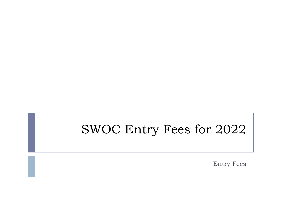# SWOC Entry Fees for 2022

Entry Fees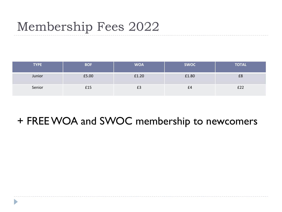## Membership Fees 2022

| <b>TYPE</b> | <b>BOF</b> | <b>WOA</b> | <b>SWOC</b> | <b>TOTAL</b> |
|-------------|------------|------------|-------------|--------------|
| Junior      | £5.00      | £1.20      | £1.80       | £8           |
| Senior      | £15        | £3         | £4          | £22          |

### + FREE WOA and SWOC membership to newcomers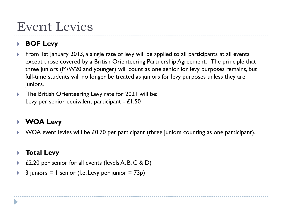# Event Levies

### **BOF Levy**

- ▶ From 1st January 2013, a single rate of levy will be applied to all participants at all events except those covered by a British Orienteering Partnership Agreement. The principle that three juniors (M/W20 and younger) will count as one senior for levy purposes remains, but full-time students will no longer be treated as juniors for levy purposes unless they are juniors.
- ▶ The British Orienteering Levy rate for 2021 will be: Levy per senior equivalent participant - £1.50

### **WOA Levy**

 $\blacktriangleright$  WOA event levies will be £0.70 per participant (three juniors counting as one participant).

### **Total Levy**

- £2.20 per senior for all events (levels A, B, C & D)
- $\triangleright$  3 juniors = 1 senior (I.e. Levy per junior = 73p)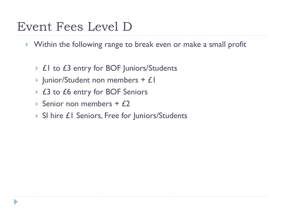### Event Fees Level D

- Within the following range to break even or make a small profit
	- ▶ £1 to £3 entry for BOF Juniors/Students
	- $\blacktriangleright$  Junior/Student non members + £1
	- ▶ £3 to £6 entry for BOF Seniors
	- Senior non members  $+ f2$
	- ▶ SI hire £1 Seniors, Free for Juniors/Students